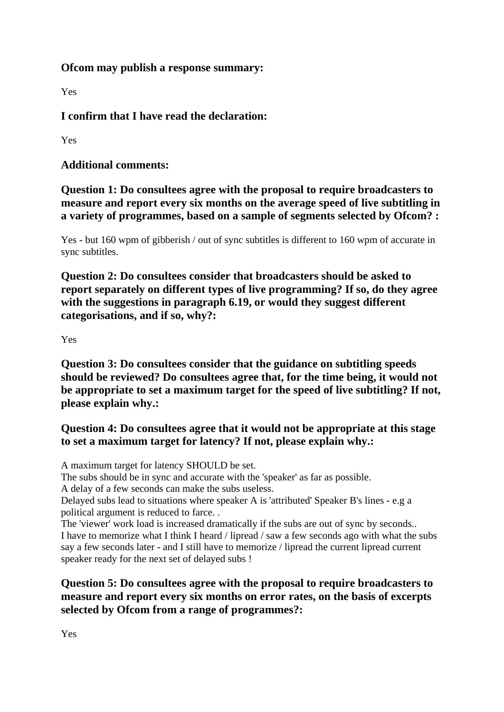# **Ofcom may publish a response summary:**

Yes

**I confirm that I have read the declaration:**

Yes

**Additional comments:**

**Question 1: Do consultees agree with the proposal to require broadcasters to measure and report every six months on the average speed of live subtitling in a variety of programmes, based on a sample of segments selected by Ofcom? :**

Yes - but 160 wpm of gibberish / out of sync subtitles is different to 160 wpm of accurate in sync subtitles.

**Question 2: Do consultees consider that broadcasters should be asked to report separately on different types of live programming? If so, do they agree with the suggestions in paragraph 6.19, or would they suggest different categorisations, and if so, why?:**

#### Yes

**Question 3: Do consultees consider that the guidance on subtitling speeds should be reviewed? Do consultees agree that, for the time being, it would not be appropriate to set a maximum target for the speed of live subtitling? If not, please explain why.:**

# **Question 4: Do consultees agree that it would not be appropriate at this stage to set a maximum target for latency? If not, please explain why.:**

A maximum target for latency SHOULD be set.

The subs should be in sync and accurate with the 'speaker' as far as possible.

A delay of a few seconds can make the subs useless.

Delayed subs lead to situations where speaker A is 'attributed' Speaker B's lines - e.g a political argument is reduced to farce. .

The 'viewer' work load is increased dramatically if the subs are out of sync by seconds.. I have to memorize what I think I heard / lipread / saw a few seconds ago with what the subs say a few seconds later - and I still have to memorize / lipread the current lipread current speaker ready for the next set of delayed subs !

# **Question 5: Do consultees agree with the proposal to require broadcasters to measure and report every six months on error rates, on the basis of excerpts selected by Ofcom from a range of programmes?:**